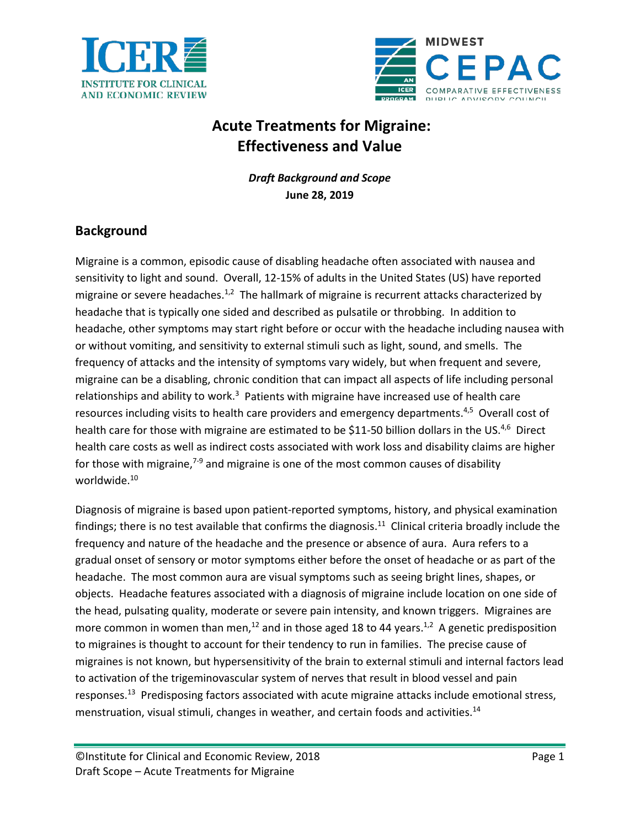



# **Acute Treatments for Migraine: Effectiveness and Value**

*Draft Background and Scope* **June 28, 2019**

## **Background**

Migraine is a common, episodic cause of disabling headache often associated with nausea and sensitivity to light and sound. Overall, 12-15% of adults in the United States (US) have reported migraine or severe headaches.<sup>[1,](#page-9-0)[2](#page-9-1)</sup> The hallmark of migraine is recurrent attacks characterized by headache that is typically one sided and described as pulsatile or throbbing. In addition to headache, other symptoms may start right before or occur with the headache including nausea with or without vomiting, and sensitivity to external stimuli such as light, sound, and smells. The frequency of attacks and the intensity of symptoms vary widely, but when frequent and severe, migraine can be a disabling, chronic condition that can impact all aspects of life including personal relationships and ability to work.<sup>3</sup> Patients with migraine have increased use of health care resources including visits to health care providers and emergency departments.<sup>4[,5](#page-9-4)</sup> Overall cost of health care for those with migraine are estimated to be \$11-50 billion dollars in the US.<sup>4,[6](#page-9-5)</sup> Direct health care costs as well as indirect costs associated with work loss and disability claims are higher for those with migraine, $7-9$  and migraine is one of the most common causes of disability worldwide[.10](#page-9-7)

Diagnosis of migraine is based upon patient-reported symptoms, history, and physical examination findings; there is no test available that confirms the diagnosis.<sup>11</sup> Clinical criteria broadly include the frequency and nature of the headache and the presence or absence of aura. Aura refers to a gradual onset of sensory or motor symptoms either before the onset of headache or as part of the headache. The most common aura are visual symptoms such as seeing bright lines, shapes, or objects. Headache features associated with a diagnosis of migraine include location on one side of the head, pulsating quality, moderate or severe pain intensity, and known triggers. Migraines are more common in women than men,<sup>1[2](#page-9-1)</sup> and in those aged 18 to 44 years.<sup>1,2</sup> A genetic predisposition to migraines is thought to account for their tendency to run in families. The precise cause of migraines is not known, but hypersensitivity of the brain to external stimuli and internal factors lead to activation of the trigeminovascular system of nerves that result in blood vessel and pain responses.<sup>13</sup> Predisposing factors associated with acute migraine attacks include emotional stress, menstruation, visual stimuli, changes in weather, and certain foods and activities.<sup>14</sup>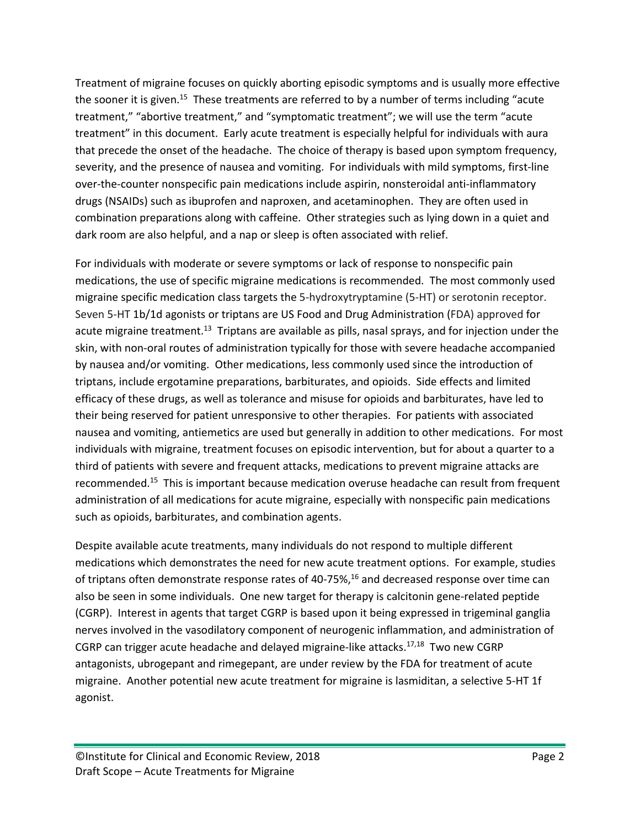Treatment of migraine focuses on quickly aborting episodic symptoms and is usually more effective the sooner it is given.<sup>15</sup> These treatments are referred to by a number of terms including "acute treatment," "abortive treatment," and "symptomatic treatment"; we will use the term "acute treatment" in this document. Early acute treatment is especially helpful for individuals with aura that precede the onset of the headache. The choice of therapy is based upon symptom frequency, severity, and the presence of nausea and vomiting. For individuals with mild symptoms, first-line over-the-counter nonspecific pain medications include aspirin, nonsteroidal anti-inflammatory drugs (NSAIDs) such as ibuprofen and naproxen, and acetaminophen. They are often used in combination preparations along with caffeine. Other strategies such as lying down in a quiet and dark room are also helpful, and a nap or sleep is often associated with relief.

For individuals with moderate or severe symptoms or lack of response to nonspecific pain medications, the use of specific migraine medications is recommended. The most commonly used migraine specific medication class targets the 5-hydroxytryptamine (5-HT) or serotonin receptor. Seven 5-HT 1b/1d agonists or triptans are US Food and Drug Administration (FDA) approved for acute migraine treatment.<sup>13</sup> Triptans are available as pills, nasal sprays, and for injection under the skin, with non-oral routes of administration typically for those with severe headache accompanied by nausea and/or vomiting. Other medications, less commonly used since the introduction of triptans, include ergotamine preparations, barbiturates, and opioids. Side effects and limited efficacy of these drugs, as well as tolerance and misuse for opioids and barbiturates, have led to their being reserved for patient unresponsive to other therapies. For patients with associated nausea and vomiting, antiemetics are used but generally in addition to other medications. For most individuals with migraine, treatment focuses on episodic intervention, but for about a quarter to a third of patients with severe and frequent attacks, medications to prevent migraine attacks are recommended.<sup>15</sup> This is important because medication overuse headache can result from frequent administration of all medications for acute migraine, especially with nonspecific pain medications such as opioids, barbiturates, and combination agents.

Despite available acute treatments, many individuals do not respond to multiple different medications which demonstrates the need for new acute treatment options. For example, studies of triptans often demonstrate response rates of 40-75%, $^{16}$  and decreased response over time can also be seen in some individuals. One new target for therapy is calcitonin gene-related peptide (CGRP). Interest in agents that target CGRP is based upon it being expressed in trigeminal ganglia nerves involved in the vasodilatory component of neurogenic inflammation, and administration of CGRP can trigger acute headache and delayed migraine-like attacks.<sup>[17,](#page-9-14)[18](#page-9-15)</sup> Two new CGRP antagonists, ubrogepant and rimegepant, are under review by the FDA for treatment of acute migraine. Another potential new acute treatment for migraine is lasmiditan, a selective 5-HT 1f agonist.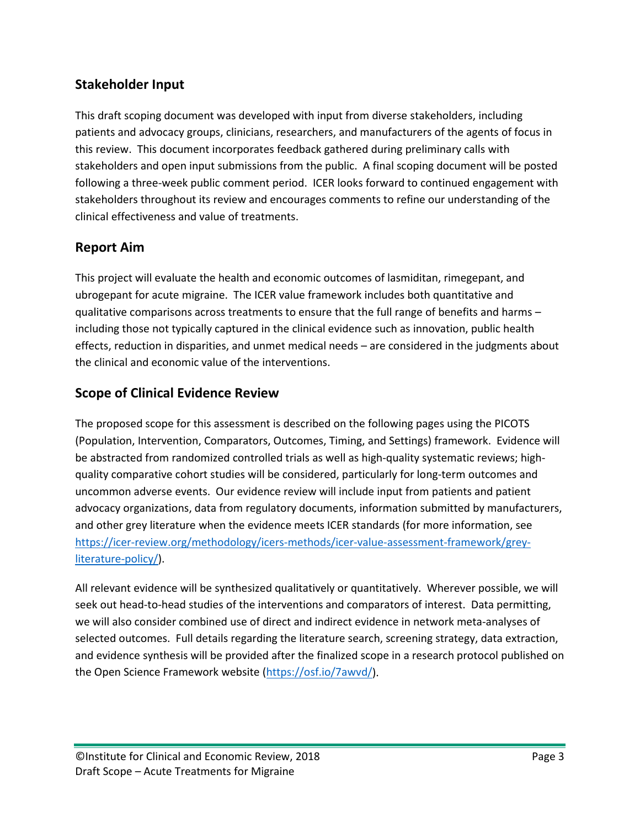## **Stakeholder Input**

This draft scoping document was developed with input from diverse stakeholders, including patients and advocacy groups, clinicians, researchers, and manufacturers of the agents of focus in this review. This document incorporates feedback gathered during preliminary calls with stakeholders and open input submissions from the public. A final scoping document will be posted following a three-week public comment period. ICER looks forward to continued engagement with stakeholders throughout its review and encourages comments to refine our understanding of the clinical effectiveness and value of treatments.

## **Report Aim**

This project will evaluate the health and economic outcomes of lasmiditan, rimegepant, and ubrogepant for acute migraine. The ICER value framework includes both quantitative and qualitative comparisons across treatments to ensure that the full range of benefits and harms – including those not typically captured in the clinical evidence such as innovation, public health effects, reduction in disparities, and unmet medical needs – are considered in the judgments about the clinical and economic value of the interventions.

## **Scope of Clinical Evidence Review**

The proposed scope for this assessment is described on the following pages using the PICOTS (Population, Intervention, Comparators, Outcomes, Timing, and Settings) framework. Evidence will be abstracted from randomized controlled trials as well as high-quality systematic reviews; highquality comparative cohort studies will be considered, particularly for long-term outcomes and uncommon adverse events. Our evidence review will include input from patients and patient advocacy organizations, data from regulatory documents, information submitted by manufacturers, and other grey literature when the evidence meets ICER standards (for more information, see [https://icer-review.org/methodology/icers-methods/icer-value-assessment-framework/grey](https://icer-review.org/methodology/icers-methods/icer-value-assessment-framework/grey-literature-policy/)[literature-policy/\)](https://icer-review.org/methodology/icers-methods/icer-value-assessment-framework/grey-literature-policy/).

All relevant evidence will be synthesized qualitatively or quantitatively. Wherever possible, we will seek out head-to-head studies of the interventions and comparators of interest. Data permitting, we will also consider combined use of direct and indirect evidence in network meta-analyses of selected outcomes. Full details regarding the literature search, screening strategy, data extraction, and evidence synthesis will be provided after the finalized scope in a research protocol published on the Open Science Framework website [\(https://osf.io/7awvd/\)](https://osf.io/7awvd/).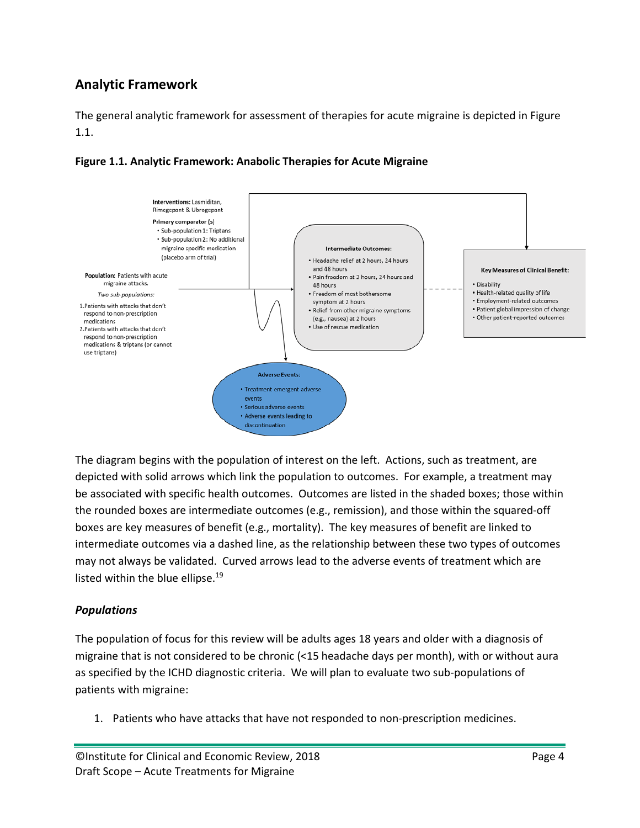## **Analytic Framework**

The general analytic framework for assessment of therapies for acute migraine is depicted in Figure 1.1.



**Figure 1.1. Analytic Framework: Anabolic Therapies for Acute Migraine**

The diagram begins with the population of interest on the left. Actions, such as treatment, are depicted with solid arrows which link the population to outcomes. For example, a treatment may be associated with specific health outcomes. Outcomes are listed in the shaded boxes; those within the rounded boxes are intermediate outcomes (e.g., remission), and those within the squared-off boxes are key measures of benefit (e.g., mortality). The key measures of benefit are linked to intermediate outcomes via a dashed line, as the relationship between these two types of outcomes may not always be validated. Curved arrows lead to the adverse events of treatment which are listed within the blue ellipse.<sup>19</sup>

### *Populations*

The population of focus for this review will be adults ages 18 years and older with a diagnosis of migraine that is not considered to be chronic (<15 headache days per month), with or without aura as specified by the ICHD diagnostic criteria. We will plan to evaluate two sub-populations of patients with migraine:

1. Patients who have attacks that have not responded to non-prescription medicines.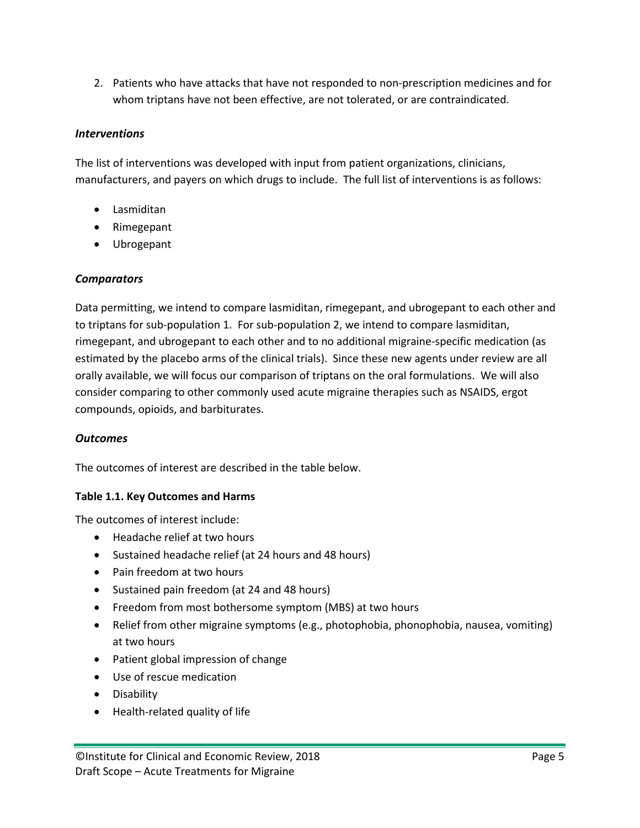2. Patients who have attacks that have not responded to non-prescription medicines and for whom triptans have not been effective, are not tolerated, or are contraindicated.

#### *Interventions*

The list of interventions was developed with input from patient organizations, clinicians, manufacturers, and payers on which drugs to include. The full list of interventions is as follows:

- Lasmiditan
- Rimegepant
- Ubrogepant

### *Comparators*

Data permitting, we intend to compare lasmiditan, rimegepant, and ubrogepant to each other and to triptans for sub-population 1. For sub-population 2, we intend to compare lasmiditan, rimegepant, and ubrogepant to each other and to no additional migraine-specific medication (as estimated by the placebo arms of the clinical trials). Since these new agents under review are all orally available, we will focus our comparison of triptans on the oral formulations. We will also consider comparing to other commonly used acute migraine therapies such as NSAIDS, ergot compounds, opioids, and barbiturates.

#### *Outcomes*

The outcomes of interest are described in the table below.

#### **Table 1.1. Key Outcomes and Harms**

The outcomes of interest include:

- Headache relief at two hours
- Sustained headache relief (at 24 hours and 48 hours)
- Pain freedom at two hours
- Sustained pain freedom (at 24 and 48 hours)
- Freedom from most bothersome symptom (MBS) at two hours
- Relief from other migraine symptoms (e.g., photophobia, phonophobia, nausea, vomiting) at two hours
- Patient global impression of change
- Use of rescue medication
- Disability
- Health-related quality of life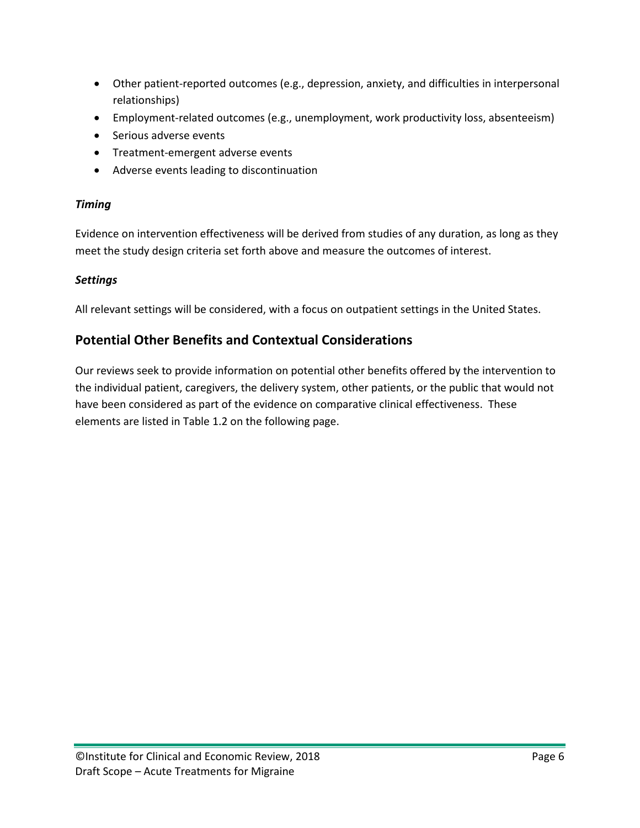- Other patient-reported outcomes (e.g., depression, anxiety, and difficulties in interpersonal relationships)
- Employment-related outcomes (e.g., unemployment, work productivity loss, absenteeism)
- Serious adverse events
- Treatment-emergent adverse events
- Adverse events leading to discontinuation

### *Timing*

Evidence on intervention effectiveness will be derived from studies of any duration, as long as they meet the study design criteria set forth above and measure the outcomes of interest.

### *Settings*

All relevant settings will be considered, with a focus on outpatient settings in the United States.

### **Potential Other Benefits and Contextual Considerations**

Our reviews seek to provide information on potential other benefits offered by the intervention to the individual patient, caregivers, the delivery system, other patients, or the public that would not have been considered as part of the evidence on comparative clinical effectiveness. These elements are listed in Table 1.2 on the following page.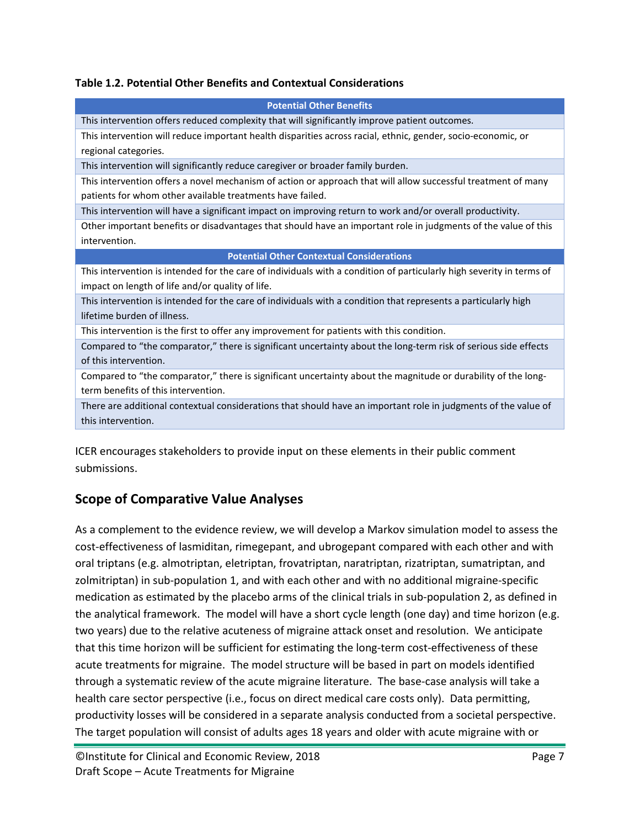### **Table 1.2. Potential Other Benefits and Contextual Considerations**

| <b>Potential Other Benefits</b>                                                                                      |
|----------------------------------------------------------------------------------------------------------------------|
| This intervention offers reduced complexity that will significantly improve patient outcomes.                        |
| This intervention will reduce important health disparities across racial, ethnic, gender, socio-economic, or         |
| regional categories.                                                                                                 |
| This intervention will significantly reduce caregiver or broader family burden.                                      |
| This intervention offers a novel mechanism of action or approach that will allow successful treatment of many        |
| patients for whom other available treatments have failed.                                                            |
| This intervention will have a significant impact on improving return to work and/or overall productivity.            |
| Other important benefits or disadvantages that should have an important role in judgments of the value of this       |
| intervention.                                                                                                        |
| <b>Potential Other Contextual Considerations</b>                                                                     |
| This intervention is intended for the care of individuals with a condition of particularly high severity in terms of |
| impact on length of life and/or quality of life.                                                                     |
| This intervention is intended for the care of individuals with a condition that represents a particularly high       |
| lifetime burden of illness.                                                                                          |
| This intervention is the first to offer any improvement for patients with this condition.                            |
| Compared to "the comparator," there is significant uncertainty about the long-term risk of serious side effects      |
| of this intervention.                                                                                                |
| Compared to "the comparator," there is significant uncertainty about the magnitude or durability of the long-        |
| term benefits of this intervention.                                                                                  |
| There are additional contextual considerations that should have an important role in judgments of the value of       |
| this intervention.                                                                                                   |
|                                                                                                                      |

ICER encourages stakeholders to provide input on these elements in their public comment submissions.

## **Scope of Comparative Value Analyses**

As a complement to the evidence review, we will develop a Markov simulation model to assess the cost-effectiveness of lasmiditan, rimegepant, and ubrogepant compared with each other and with oral triptans (e.g. almotriptan, eletriptan, frovatriptan, naratriptan, rizatriptan, sumatriptan, and zolmitriptan) in sub-population 1, and with each other and with no additional migraine-specific medication as estimated by the placebo arms of the clinical trials in sub-population 2, as defined in the analytical framework. The model will have a short cycle length (one day) and time horizon (e.g. two years) due to the relative acuteness of migraine attack onset and resolution. We anticipate that this time horizon will be sufficient for estimating the long-term cost-effectiveness of these acute treatments for migraine. The model structure will be based in part on models identified through a systematic review of the acute migraine literature. The base-case analysis will take a health care sector perspective (i.e., focus on direct medical care costs only). Data permitting, productivity losses will be considered in a separate analysis conducted from a societal perspective. The target population will consist of adults ages 18 years and older with acute migraine with or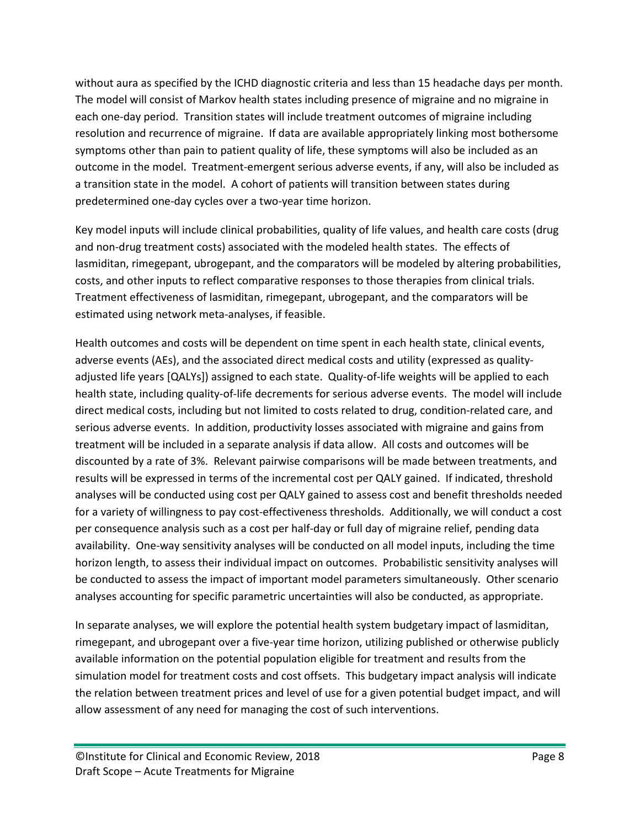without aura as specified by the ICHD diagnostic criteria and less than 15 headache days per month. The model will consist of Markov health states including presence of migraine and no migraine in each one-day period. Transition states will include treatment outcomes of migraine including resolution and recurrence of migraine. If data are available appropriately linking most bothersome symptoms other than pain to patient quality of life, these symptoms will also be included as an outcome in the model. Treatment-emergent serious adverse events, if any, will also be included as a transition state in the model. A cohort of patients will transition between states during predetermined one-day cycles over a two-year time horizon.

Key model inputs will include clinical probabilities, quality of life values, and health care costs (drug and non-drug treatment costs) associated with the modeled health states. The effects of lasmiditan, rimegepant, ubrogepant, and the comparators will be modeled by altering probabilities, costs, and other inputs to reflect comparative responses to those therapies from clinical trials. Treatment effectiveness of lasmiditan, rimegepant, ubrogepant, and the comparators will be estimated using network meta-analyses, if feasible.

Health outcomes and costs will be dependent on time spent in each health state, clinical events, adverse events (AEs), and the associated direct medical costs and utility (expressed as qualityadjusted life years [QALYs]) assigned to each state. Quality-of-life weights will be applied to each health state, including quality-of-life decrements for serious adverse events. The model will include direct medical costs, including but not limited to costs related to drug, condition-related care, and serious adverse events. In addition, productivity losses associated with migraine and gains from treatment will be included in a separate analysis if data allow. All costs and outcomes will be discounted by a rate of 3%. Relevant pairwise comparisons will be made between treatments, and results will be expressed in terms of the incremental cost per QALY gained. If indicated, threshold analyses will be conducted using cost per QALY gained to assess cost and benefit thresholds needed for a variety of willingness to pay cost-effectiveness thresholds. Additionally, we will conduct a cost per consequence analysis such as a cost per half-day or full day of migraine relief, pending data availability. One-way sensitivity analyses will be conducted on all model inputs, including the time horizon length, to assess their individual impact on outcomes. Probabilistic sensitivity analyses will be conducted to assess the impact of important model parameters simultaneously. Other scenario analyses accounting for specific parametric uncertainties will also be conducted, as appropriate.

In separate analyses, we will explore the potential health system budgetary impact of lasmiditan, rimegepant, and ubrogepant over a five-year time horizon, utilizing published or otherwise publicly available information on the potential population eligible for treatment and results from the simulation model for treatment costs and cost offsets. This budgetary impact analysis will indicate the relation between treatment prices and level of use for a given potential budget impact, and will allow assessment of any need for managing the cost of such interventions.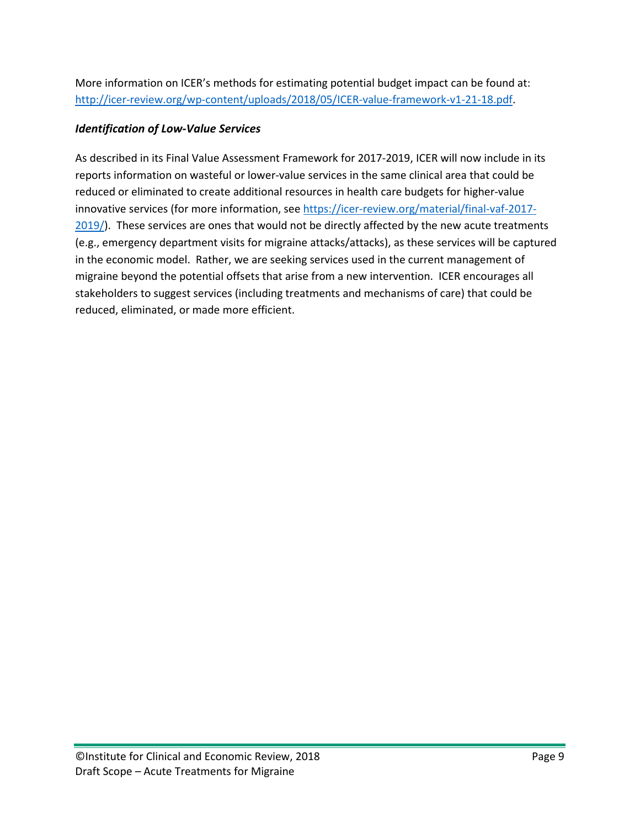More information on ICER's methods for estimating potential budget impact can be found at: [http://icer-review.org/wp-content/uploads/2018/05/ICER-value-framework-v1-21-18.pdf.](http://icer-review.org/wp-content/uploads/2018/05/ICER-value-framework-v1-21-18.pdf)

### *Identification of Low-Value Services*

As described in its Final Value Assessment Framework for 2017-2019, ICER will now include in its reports information on wasteful or lower-value services in the same clinical area that could be reduced or eliminated to create additional resources in health care budgets for higher-value innovative services (for more information, see [https://icer-review.org/material/final-vaf-2017-](https://icer-review.org/material/final-vaf-2017-2019/) [2019/\)](https://icer-review.org/material/final-vaf-2017-2019/). These services are ones that would not be directly affected by the new acute treatments (e.g., emergency department visits for migraine attacks/attacks), as these services will be captured in the economic model. Rather, we are seeking services used in the current management of migraine beyond the potential offsets that arise from a new intervention. ICER encourages all stakeholders to suggest services (including treatments and mechanisms of care) that could be reduced, eliminated, or made more efficient.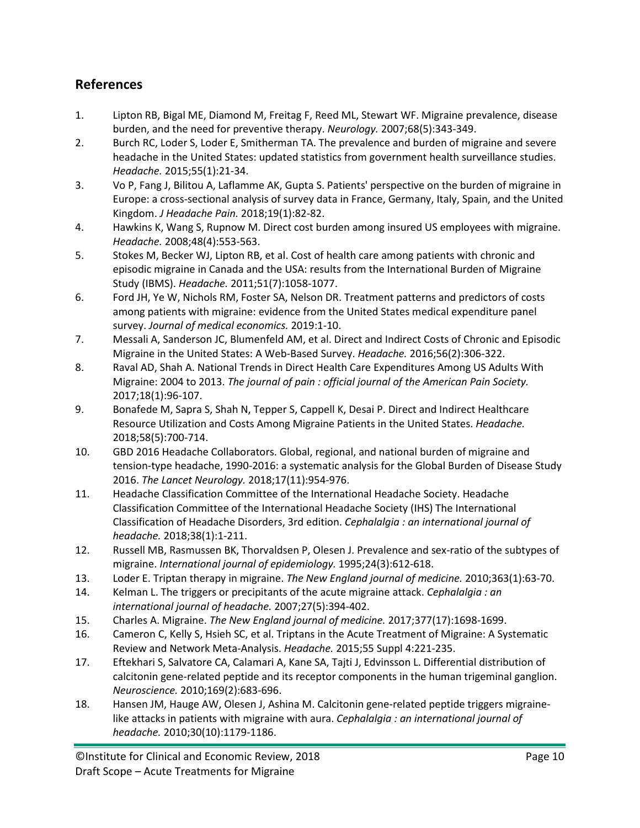## **References**

- <span id="page-9-0"></span>1. Lipton RB, Bigal ME, Diamond M, Freitag F, Reed ML, Stewart WF. Migraine prevalence, disease burden, and the need for preventive therapy. *Neurology.* 2007;68(5):343-349.
- <span id="page-9-1"></span>2. Burch RC, Loder S, Loder E, Smitherman TA. The prevalence and burden of migraine and severe headache in the United States: updated statistics from government health surveillance studies. *Headache.* 2015;55(1):21-34.
- <span id="page-9-2"></span>3. Vo P, Fang J, Bilitou A, Laflamme AK, Gupta S. Patients' perspective on the burden of migraine in Europe: a cross-sectional analysis of survey data in France, Germany, Italy, Spain, and the United Kingdom. *J Headache Pain.* 2018;19(1):82-82.
- <span id="page-9-3"></span>4. Hawkins K, Wang S, Rupnow M. Direct cost burden among insured US employees with migraine. *Headache.* 2008;48(4):553-563.
- <span id="page-9-4"></span>5. Stokes M, Becker WJ, Lipton RB, et al. Cost of health care among patients with chronic and episodic migraine in Canada and the USA: results from the International Burden of Migraine Study (IBMS). *Headache.* 2011;51(7):1058-1077.
- <span id="page-9-5"></span>6. Ford JH, Ye W, Nichols RM, Foster SA, Nelson DR. Treatment patterns and predictors of costs among patients with migraine: evidence from the United States medical expenditure panel survey. *Journal of medical economics.* 2019:1-10.
- <span id="page-9-6"></span>7. Messali A, Sanderson JC, Blumenfeld AM, et al. Direct and Indirect Costs of Chronic and Episodic Migraine in the United States: A Web-Based Survey. *Headache.* 2016;56(2):306-322.
- 8. Raval AD, Shah A. National Trends in Direct Health Care Expenditures Among US Adults With Migraine: 2004 to 2013. *The journal of pain : official journal of the American Pain Society.*  2017;18(1):96-107.
- 9. Bonafede M, Sapra S, Shah N, Tepper S, Cappell K, Desai P. Direct and Indirect Healthcare Resource Utilization and Costs Among Migraine Patients in the United States. *Headache.*  2018;58(5):700-714.
- <span id="page-9-7"></span>10. GBD 2016 Headache Collaborators. Global, regional, and national burden of migraine and tension-type headache, 1990-2016: a systematic analysis for the Global Burden of Disease Study 2016. *The Lancet Neurology.* 2018;17(11):954-976.
- <span id="page-9-8"></span>11. Headache Classification Committee of the International Headache Society. Headache Classification Committee of the International Headache Society (IHS) The International Classification of Headache Disorders, 3rd edition. *Cephalalgia : an international journal of headache.* 2018;38(1):1-211.
- <span id="page-9-9"></span>12. Russell MB, Rasmussen BK, Thorvaldsen P, Olesen J. Prevalence and sex-ratio of the subtypes of migraine. *International journal of epidemiology.* 1995;24(3):612-618.
- <span id="page-9-10"></span>13. Loder E. Triptan therapy in migraine. *The New England journal of medicine.* 2010;363(1):63-70.
- <span id="page-9-11"></span>14. Kelman L. The triggers or precipitants of the acute migraine attack. *Cephalalgia : an international journal of headache.* 2007;27(5):394-402.
- <span id="page-9-12"></span>15. Charles A. Migraine. *The New England journal of medicine.* 2017;377(17):1698-1699.
- <span id="page-9-13"></span>16. Cameron C, Kelly S, Hsieh SC, et al. Triptans in the Acute Treatment of Migraine: A Systematic Review and Network Meta-Analysis. *Headache.* 2015;55 Suppl 4:221-235.
- <span id="page-9-14"></span>17. Eftekhari S, Salvatore CA, Calamari A, Kane SA, Tajti J, Edvinsson L. Differential distribution of calcitonin gene-related peptide and its receptor components in the human trigeminal ganglion. *Neuroscience.* 2010;169(2):683-696.
- <span id="page-9-15"></span>18. Hansen JM, Hauge AW, Olesen J, Ashina M. Calcitonin gene-related peptide triggers migrainelike attacks in patients with migraine with aura. *Cephalalgia : an international journal of headache.* 2010;30(10):1179-1186.